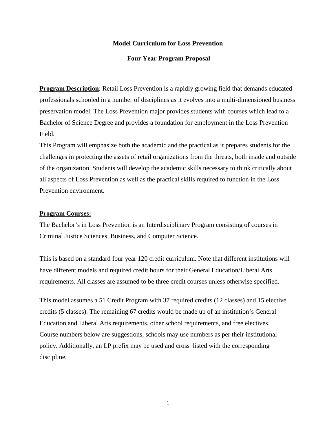## **Model Curriculum for Loss Prevention**

### **Four Year Program Proposal**

**Program Description**: Retail Loss Prevention is a rapidly growing field that demands educated professionals schooled in a number of disciplines as it evolves into a multi-dimensioned business preservation model. The Loss Prevention major provides students with courses which lead to a Bachelor of Science Degree and provides a foundation for employment in the Loss Prevention Field.

This Program will emphasize both the academic and the practical as it prepares students for the challenges in protecting the assets of retail organizations from the threats, both inside and outside of the organization. Students will develop the academic skills necessary to think critically about all aspects of Loss Prevention as well as the practical skills required to function in the Loss Prevention environment.

## **Program Courses:**

The Bachelor's in Loss Prevention is an Interdisciplinary Program consisting of courses in Criminal Justice Sciences, Business, and Computer Science.

This is based on a standard four year 120 credit curriculum. Note that different institutions will have different models and required credit hours for their General Education/Liberal Arts requirements. All classes are assumed to be three credit courses unless otherwise specified.

This model assumes a 51 Credit Program with 37 required credits (12 classes) and 15 elective credits (5 classes). The remaining 67 credits would be made up of an institution's General Education and Liberal Arts requirements, other school requirements, and free electives. Course numbers below are suggestions, schools may use numbers as per their institutional policy. Additionally, an LP prefix may be used and cross listed with the corresponding discipline.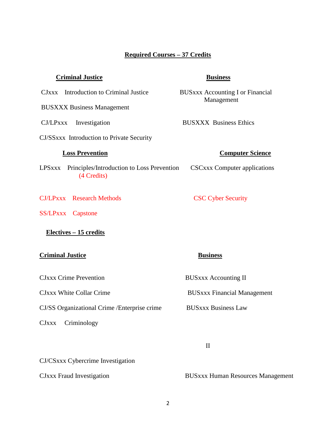# **Required Courses – 37 Credits**

## **Criminal Justice Business**

CJxxx Introduction to Criminal Justice BUSxxx Accounting I or Financial

BUSXXX Business Management

CJ/SSxxx Introduction to Private Security

- LPSxxx Principles/Introduction to Loss Prevention CSCxxx Computer applications (4 Credits)
- CJ/LPxxx Research Methods CSC Cyber Security
- SS/LPxxx Capstone

## **Electives – 15 credits**

### **Criminal Justice Business**

CJxxx Crime Prevention BUSxxx Accounting II

CJ/SS Organizational Crime /Enterprise crime BUSxxx Business Law

CJxxx Criminology

CJxxx White Collar Crime BUSxxx Financial Management

II

CJ/CSxxx Cybercrime Investigation

CJxxx Fraud Investigation BUSxxx Human Resources Management

Management

CJ/LPxxx Investigation BUSXXX Business Ethics

## *Computer Science*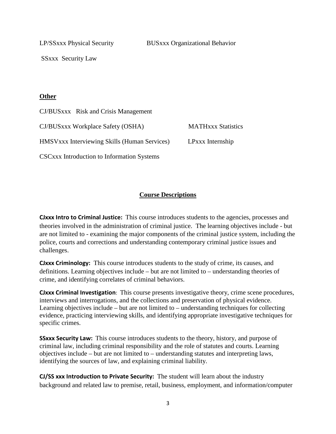LP/SSxxx Physical Security BUSxxx Organizational Behavior

SSxxx Security Law

# **Other**

| CJ/BUSxxx Risk and Crisis Management                |                           |
|-----------------------------------------------------|---------------------------|
| CJ/BUSxxx Workplace Safety (OSHA)                   | <b>MATHXXX Statistics</b> |
| <b>HMSVxxx Interviewing Skills (Human Services)</b> | LPxxx Internship          |
| <b>CSCxxx Introduction to Information Systems</b>   |                           |

# **Course Descriptions**

**CJxxx Intro to Criminal Justice:** This course introduces students to the agencies, processes and theories involved in the administration of criminal justice. The learning objectives include - but are not limited to - examining the major components of the criminal justice system, including the police, courts and corrections and understanding contemporary criminal justice issues and challenges.

**CJxxx Criminology:** This course introduces students to the study of crime, its causes, and definitions. Learning objectives include – but are not limited to – understanding theories of crime, and identifying correlates of criminal behaviors.

**CJxxx Criminal Investigation**: This course presents investigative theory, crime scene procedures, interviews and interrogations, and the collections and preservation of physical evidence. Learning objectives include – but are not limited to – understanding techniques for collecting evidence, practicing interviewing skills, and identifying appropriate investigative techniques for specific crimes.

**SSxxx Security Law:** This course introduces students to the theory, history, and purpose of criminal law, including criminal responsibility and the role of statutes and courts. Learning objectives include – but are not limited to – understanding statutes and interpreting laws, identifying the sources of law, and explaining criminal liability.

**CJ/SS xxx Introduction to Private Security:** The student will learn about the industry background and related law to premise, retail, business, employment, and information/computer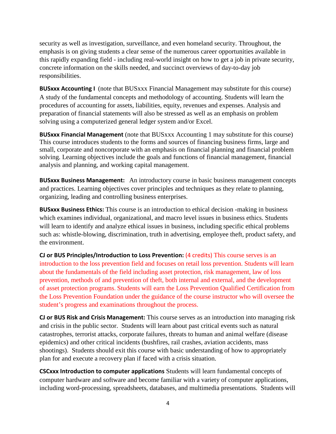security as well as investigation, surveillance, and even homeland security. Throughout, the emphasis is on giving students a clear sense of the numerous career opportunities available in this rapidly expanding field - including real-world insight on how to get a job in private security, concrete information on the skills needed, and succinct overviews of day-to-day job responsibilities.

**BUSxxx Accounting I** (note that BUSxxx Financial Management may substitute for this course) A study of the fundamental concepts and methodology of accounting. Students will learn the procedures of accounting for assets, liabilities, equity, revenues and expenses. Analysis and preparation of financial statements will also be stressed as well as an emphasis on problem solving using a computerized general ledger system and/or Excel.

**BUSxxx Financial Management** (note that BUSxxx Accounting 1 may substitute for this course) This course introduces students to the forms and sources of financing business firms, large and small, corporate and noncorporate with an emphasis on financial planning and financial problem solving. Learning objectives include the goals and functions of financial management, financial analysis and planning, and working capital management.

**BUSxxx Business Management:** An introductory course in basic business management concepts and practices. Learning objectives cover principles and techniques as they relate to planning, organizing, leading and controlling business enterprises.

**BUSxxx Business Ethics:** This course is an introduction to ethical decision -making in business which examines individual, organizational, and macro level issues in business ethics. Students will learn to identify and analyze ethical issues in business, including specific ethical problems such as: whistle-blowing, discrimination, truth in advertising, employee theft, product safety, and the environment.

**CJ or BUS Principles/Introduction to Loss Prevention:** (4 credits) This course serves is an introduction to the loss prevention field and focuses on retail loss prevention. Students will learn about the fundamentals of the field including asset protection, risk management, law of loss prevention, methods of and prevention of theft, both internal and external, and the development of asset protection programs. Students will earn the Loss Prevention Qualified Certification from the Loss Prevention Foundation under the guidance of the course instructor who will oversee the student's progress and examinations throughout the process.

**CJ or BUS Risk and Crisis Management:** This course serves as an introduction into managing risk and crisis in the public sector. Students will learn about past critical events such as natural catastrophes, terrorist attacks, corporate failures, threats to human and animal welfare (disease epidemics) and other critical incidents (bushfires, rail crashes, aviation accidents, mass shootings). Students should exit this course with basic understanding of how to appropriately plan for and execute a recovery plan if faced with a crisis situation.

**CSCxxx Introduction to computer applications** Students will learn fundamental concepts of computer hardware and software and become familiar with a variety of computer applications, including word-processing, spreadsheets, databases, and multimedia presentations. Students will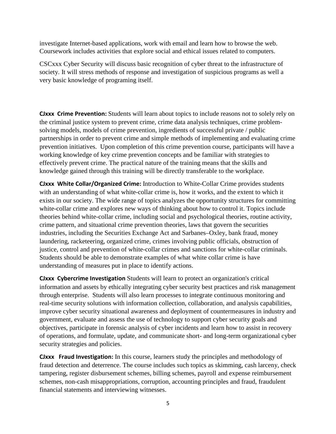investigate Internet-based applications, work with email and learn how to browse the web. Coursework includes activities that explore social and ethical issues related to computers.

CSCxxx Cyber Security will discuss basic recognition of cyber threat to the infrastructure of society. It will stress methods of response and investigation of suspicious programs as well a very basic knowledge of programing itself.

**CJxxx Crime Prevention:** Students will learn about topics to include reasons not to solely rely on the criminal justice system to prevent crime, crime data analysis techniques, crime problemsolving models, models of crime prevention, ingredients of successful private / public partnerships in order to prevent crime and simple methods of implementing and evaluating crime prevention initiatives. Upon completion of this crime prevention course, participants will have a working knowledge of key crime prevention concepts and be familiar with strategies to effectively prevent crime. The practical nature of the training means that the skills and knowledge gained through this training will be directly transferable to the workplace.

**CJxxx White Collar/Organized Crime:** Introduction to White-Collar Crime provides students with an understanding of what white-collar crime is, how it works, and the extent to which it exists in our society. The wide range of topics analyzes the opportunity structures for committing white-collar crime and explores new ways of thinking about how to control it. Topics include theories behind white-collar crime, including social and psychological theories, routine activity, crime pattern, and situational crime prevention theories, laws that govern the securities industries, including the Securities Exchange Act and Sarbanes–Oxley, bank fraud, money laundering, racketeering, organized crime, crimes involving public officials, obstruction of justice, control and prevention of white-collar crimes and sanctions for white-collar criminals. Students should be able to demonstrate examples of what white collar crime is have understanding of measures put in place to identify actions.

**CJxxx Cybercrime Investigation** Students will learn to protect an organization's critical information and assets by ethically integrating cyber security best practices and risk management through enterprise. Students will also learn processes to integrate continuous monitoring and real-time security solutions with information collection, collaboration, and analysis capabilities, improve cyber security situational awareness and deployment of countermeasures in industry and government, evaluate and assess the use of technology to support cyber security goals and objectives, participate in forensic analysis of cyber incidents and learn how to assist in recovery of operations, and formulate, update, and communicate short- and long-term organizational cyber security strategies and policies.

**CJxxx Fraud Investigation:** In this course, learners study the principles and methodology of fraud detection and deterrence. The course includes such topics as skimming, cash larceny, check tampering, register disbursement schemes, billing schemes, payroll and expense reimbursement schemes, non-cash misappropriations, corruption, accounting principles and fraud, fraudulent financial statements and interviewing witnesses.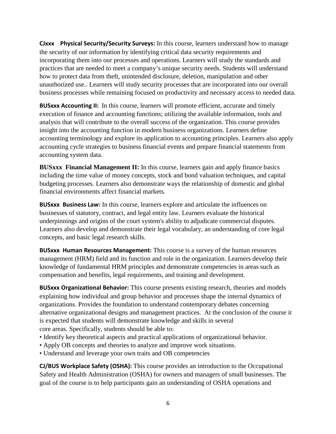**CJxxx Physical Security/Security Surveys:** In this course, learners understand how to manage the security of our information by identifying critical data security requirements and incorporating them into our processes and operations. Learners will study the standards and practices that are needed to meet a company's unique security needs. Students will understand how to protect data from theft, unintended disclosure, deletion, manipulation and other unauthorized use.. Learners will study security processes that are incorporated into our overall business processes while remaining focused on productivity and necessary access to needed data.

**BUSxxx Accounting II:** In this course, learners will promote efficient, accurate and timely execution of finance and accounting functions; utilizing the available information, tools and analysis that will contribute to the overall success of the organization. This course provides insight into the accounting function in modern business organizations. Learners define accounting terminology and explore its application to accounting principles. Learners also apply accounting cycle strategies to business financial events and prepare financial statements from accounting system data.

**BUSxxx Financial Management II:** In this course, learners gain and apply finance basics including the time value of money concepts, stock and bond valuation techniques, and capital budgeting processes. Learners also demonstrate ways the relationship of domestic and global financial environments affect financial markets.

**BUSxxx Business Law:** In this course, learners explore and articulate the influences on businesses of statutory, contract, and legal entity law. Learners evaluate the historical underpinnings and origins of the court system's ability to adjudicate commercial disputes. Learners also develop and demonstrate their legal vocabulary, an understanding of core legal concepts, and basic legal research skills.

**BUSxxx Human Resources Management:** This course is a survey of the human resources management (HRM) field and its function and role in the organization. Learners develop their knowledge of fundamental HRM principles and demonstrate competencies in areas such as compensation and benefits, legal requirements, and training and development.

**BUSxxx Organizational Behavior:** This course presents existing research, theories and models explaining how individual and group behavior and processes shape the internal dynamics of organizations. Provides the foundation to understand contemporary debates concerning alternative organizational designs and management practices. At the conclusion of the course it is expected that students will demonstrate knowledge and skills in several core areas. Specifically, students should be able to:

- Identify key theoretical aspects and practical applications of organizational behavior.
- Apply OB concepts and theories to analyze and improve work situations.
- Understand and leverage your own traits and OB competencies

**CJ/BUS Workplace Safety (OSHA):** This course provides an introduction to the Occupational Safety and Health Administration (OSHA) for owners and managers of small businesses. The goal of the course is to help participants gain an understanding of OSHA operations and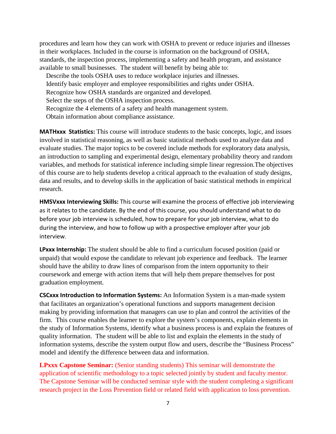procedures and learn how they can work with OSHA to prevent or reduce injuries and illnesses in their workplaces. Included in the course is information on the background of OSHA, standards, the inspection process, implementing a safety and health program, and assistance available to small businesses. The student will benefit by being able to:

 Describe the tools OSHA uses to reduce workplace injuries and illnesses. Identify basic employer and employee responsibilities and rights under OSHA. Recognize how OSHA standards are organized and developed. Select the steps of the OSHA inspection process. Recognize the 4 elements of a safety and health management system. Obtain information about compliance assistance.

**MATHxxx Statistics:** This course will introduce students to the basic concepts, logic, and issues involved in statistical reasoning, as well as basic statistical methods used to analyze data and evaluate studies. The major topics to be covered include methods for exploratory data analysis, an introduction to sampling and experimental design, elementary probability theory and random variables, and methods for statistical inference including simple linear regression.The objectives of this course are to help students develop a critical approach to the evaluation of study designs, data and results, and to develop skills in the application of basic statistical methods in empirical research.

**HMSVxxx Interviewing Skills:** This course will examine the process of effective job interviewing as it relates to the candidate. By the end of this course, you should understand what to do before your job interview is scheduled, how to prepare for your job interview, what to do during the interview, and how to follow up with a prospective employer after your job interview.

**LPxxx Internship:** The student should be able to find a curriculum focused position (paid or unpaid) that would expose the candidate to relevant job experience and feedback. The learner should have the ability to draw lines of comparison from the intern opportunity to their coursework and emerge with action items that will help them prepare themselves for post graduation employment.

**CSCxxx Introduction to Information Systems:** An Information System is a man-made system that facilitates an organization's operational functions and supports management decision making by providing information that managers can use to plan and control the activities of the firm. This course enables the learner to explore the system's components, explain elements in the study of Information Systems, identify what a business process is and explain the features of quality information. The student will be able to list and explain the elements in the study of information systems, describe the system output flow and users, describe the "Business Process" model and identify the difference between data and information.

**LPxxx Capstone Seminar:** (Senior standing students) This seminar will demonstrate the application of scientific methodology to a topic selected jointly by student and faculty mentor. The Capstone Seminar will be conducted seminar style with the student completing a significant research project in the Loss Prevention field or related field with application to loss prevention.